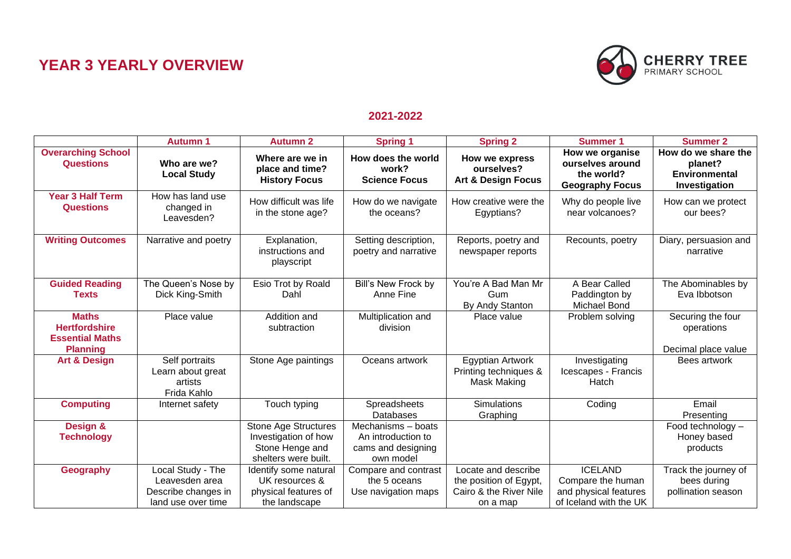## **YEAR 3 YEARLY OVERVIEW**



## **2021-2022**

|                                                                                   | <b>Autumn 1</b>                                                                  | <b>Autumn 2</b>                                                                                | <b>Spring 1</b>                                                             | <b>Spring 2</b>                                                                     | <b>Summer 1</b>                                                                        | <b>Summer 2</b>                                                         |
|-----------------------------------------------------------------------------------|----------------------------------------------------------------------------------|------------------------------------------------------------------------------------------------|-----------------------------------------------------------------------------|-------------------------------------------------------------------------------------|----------------------------------------------------------------------------------------|-------------------------------------------------------------------------|
| <b>Overarching School</b><br><b>Questions</b>                                     | Who are we?<br><b>Local Study</b>                                                | Where are we in<br>place and time?<br><b>History Focus</b>                                     | How does the world<br>work?<br><b>Science Focus</b>                         | How we express<br>ourselves?<br><b>Art &amp; Design Focus</b>                       | How we organise<br>ourselves around<br>the world?<br><b>Geography Focus</b>            | How do we share the<br>planet?<br><b>Environmental</b><br>Investigation |
| <b>Year 3 Half Term</b><br><b>Questions</b>                                       | How has land use<br>changed in<br>Leavesden?                                     | How difficult was life<br>in the stone age?                                                    | How do we navigate<br>the oceans?                                           | How creative were the<br>Egyptians?                                                 | Why do people live<br>near volcanoes?                                                  | How can we protect<br>our bees?                                         |
| <b>Writing Outcomes</b>                                                           | Narrative and poetry                                                             | Explanation,<br>instructions and<br>playscript                                                 | Setting description,<br>poetry and narrative                                | Reports, poetry and<br>newspaper reports                                            | Recounts, poetry                                                                       | Diary, persuasion and<br>narrative                                      |
| <b>Guided Reading</b><br><b>Texts</b>                                             | The Queen's Nose by<br>Dick King-Smith                                           | Esio Trot by Roald<br>Dahl                                                                     | Bill's New Frock by<br>Anne Fine                                            | You're A Bad Man Mr<br>Gum<br>By Andy Stanton                                       | A Bear Called<br>Paddington by<br>Michael Bond                                         | The Abominables by<br>Eva Ibbotson                                      |
| <b>Maths</b><br><b>Hertfordshire</b><br><b>Essential Maths</b><br><b>Planning</b> | Place value                                                                      | Addition and<br>subtraction                                                                    | Multiplication and<br>division                                              | Place value                                                                         | Problem solving                                                                        | Securing the four<br>operations<br>Decimal place value                  |
| <b>Art &amp; Design</b>                                                           | Self portraits<br>Learn about great<br>artists<br>Frida Kahlo                    | Stone Age paintings                                                                            | Oceans artwork                                                              | <b>Egyptian Artwork</b><br>Printing techniques &<br>Mask Making                     | Investigating<br>Icescapes - Francis<br>Hatch                                          | Bees artwork                                                            |
| <b>Computing</b>                                                                  | Internet safety                                                                  | Touch typing                                                                                   | Spreadsheets<br><b>Databases</b>                                            | <b>Simulations</b><br>Graphing                                                      | Coding                                                                                 | Email<br>Presenting                                                     |
| Design &<br><b>Technology</b>                                                     |                                                                                  | <b>Stone Age Structures</b><br>Investigation of how<br>Stone Henge and<br>shelters were built. | Mechanisms - boats<br>An introduction to<br>cams and designing<br>own model |                                                                                     |                                                                                        | Food technology -<br>Honey based<br>products                            |
| <b>Geography</b>                                                                  | Local Study - The<br>Leavesden area<br>Describe changes in<br>land use over time | Identify some natural<br>UK resources &<br>physical features of<br>the landscape               | Compare and contrast<br>the 5 oceans<br>Use navigation maps                 | Locate and describe<br>the position of Egypt,<br>Cairo & the River Nile<br>on a map | <b>ICELAND</b><br>Compare the human<br>and physical features<br>of Iceland with the UK | Track the journey of<br>bees during<br>pollination season               |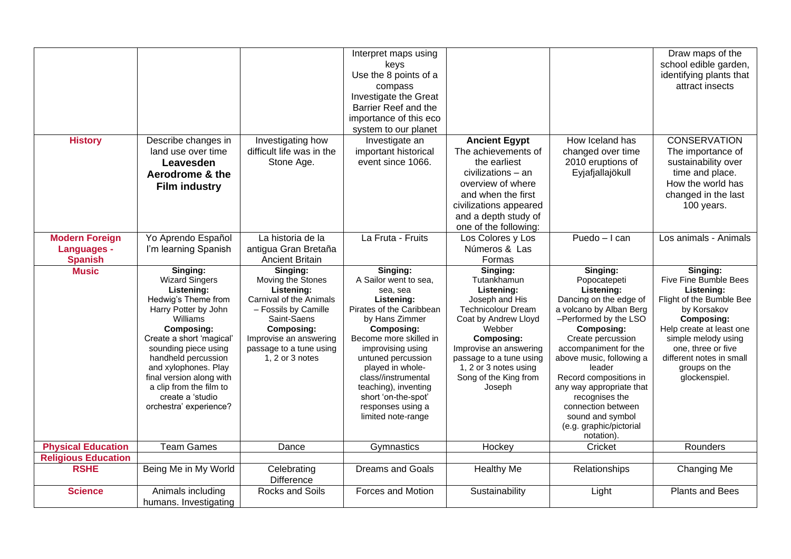|                            |                                             |                                            | Interpret maps using                    |                                                   |                                                   | Draw maps of the                               |
|----------------------------|---------------------------------------------|--------------------------------------------|-----------------------------------------|---------------------------------------------------|---------------------------------------------------|------------------------------------------------|
|                            |                                             |                                            | keys                                    |                                                   |                                                   | school edible garden,                          |
|                            |                                             |                                            | Use the 8 points of a                   |                                                   |                                                   | identifying plants that                        |
|                            |                                             |                                            | compass                                 |                                                   |                                                   | attract insects                                |
|                            |                                             |                                            | Investigate the Great                   |                                                   |                                                   |                                                |
|                            |                                             |                                            | Barrier Reef and the                    |                                                   |                                                   |                                                |
|                            |                                             |                                            | importance of this eco                  |                                                   |                                                   |                                                |
|                            |                                             |                                            | system to our planet                    |                                                   |                                                   |                                                |
| <b>History</b>             | Describe changes in                         | Investigating how                          | Investigate an                          | <b>Ancient Egypt</b>                              | How Iceland has                                   | <b>CONSERVATION</b>                            |
|                            | land use over time                          | difficult life was in the                  | important historical                    | The achievements of                               | changed over time                                 | The importance of                              |
|                            | Leavesden                                   | Stone Age.                                 | event since 1066.                       | the earliest                                      | 2010 eruptions of                                 | sustainability over                            |
|                            | Aerodrome & the                             |                                            |                                         | civilizations – an                                | Eyjafjallajökull                                  | time and place.                                |
|                            |                                             |                                            |                                         | overview of where                                 |                                                   | How the world has                              |
|                            | <b>Film industry</b>                        |                                            |                                         | and when the first                                |                                                   | changed in the last                            |
|                            |                                             |                                            |                                         | civilizations appeared                            |                                                   | 100 years.                                     |
|                            |                                             |                                            |                                         | and a depth study of                              |                                                   |                                                |
|                            |                                             |                                            |                                         | one of the following:                             |                                                   |                                                |
| <b>Modern Foreign</b>      | Yo Aprendo Español                          | La historia de la                          | La Fruta - Fruits                       | Los Colores y Los                                 | $Puedo-I can$                                     | Los animals - Animals                          |
| <b>Languages -</b>         | I'm learning Spanish                        | antigua Gran Bretaña                       |                                         | Números & Las                                     |                                                   |                                                |
| <b>Spanish</b>             |                                             | <b>Ancient Britain</b>                     |                                         | Formas                                            |                                                   |                                                |
| <b>Music</b>               | Singing:                                    | Singing:                                   | Singing:                                | Singing:                                          | Singing:                                          | Singing:                                       |
|                            | <b>Wizard Singers</b>                       | Moving the Stones                          | A Sailor went to sea,                   | Tutankhamun                                       | Popocatepeti                                      | Five Fine Bumble Bees                          |
|                            | Listening:                                  | Listening:                                 | sea, sea                                | Listening:                                        | Listening:                                        | Listening:                                     |
|                            | Hedwig's Theme from                         | Carnival of the Animals                    | Listening:                              | Joseph and His                                    | Dancing on the edge of                            | Flight of the Bumble Bee                       |
|                            | Harry Potter by John                        | - Fossils by Camille                       | Pirates of the Caribbean                | <b>Technicolour Dream</b>                         | a volcano by Alban Berg                           | by Korsakov                                    |
|                            | Williams                                    | Saint-Saens                                | by Hans Zimmer                          | Coat by Andrew Lloyd                              | -Performed by the LSO                             | <b>Composing:</b>                              |
|                            | <b>Composing:</b>                           | <b>Composing:</b>                          | <b>Composing:</b>                       | Webber                                            | <b>Composing:</b>                                 | Help create at least one                       |
|                            | Create a short 'magical'                    | Improvise an answering                     | Become more skilled in                  | <b>Composing:</b>                                 | Create percussion                                 | simple melody using                            |
|                            | sounding piece using<br>handheld percussion | passage to a tune using<br>1, 2 or 3 notes | improvising using<br>untuned percussion | Improvise an answering<br>passage to a tune using | accompaniment for the<br>above music, following a | one, three or five<br>different notes in small |
|                            | and xylophones. Play                        |                                            | played in whole-                        | 1, 2 or 3 notes using                             | leader                                            | groups on the                                  |
|                            | final version along with                    |                                            | class//instrumental                     | Song of the King from                             | Record compositions in                            | glockenspiel.                                  |
|                            | a clip from the film to                     |                                            | teaching), inventing                    | Joseph                                            | any way appropriate that                          |                                                |
|                            | create a 'studio                            |                                            | short 'on-the-spot'                     |                                                   | recognises the                                    |                                                |
|                            | orchestra' experience?                      |                                            | responses using a                       |                                                   | connection between                                |                                                |
|                            |                                             |                                            | limited note-range                      |                                                   | sound and symbol                                  |                                                |
|                            |                                             |                                            |                                         |                                                   | (e.g. graphic/pictorial                           |                                                |
|                            |                                             |                                            |                                         |                                                   | notation).                                        |                                                |
| <b>Physical Education</b>  | <b>Team Games</b>                           | Dance                                      | Gymnastics                              | Hockey                                            | Cricket                                           | Rounders                                       |
| <b>Religious Education</b> |                                             |                                            |                                         |                                                   |                                                   |                                                |
| <b>RSHE</b>                | Being Me in My World                        | Celebrating<br><b>Difference</b>           | <b>Dreams and Goals</b>                 | <b>Healthy Me</b>                                 | Relationships                                     | Changing Me                                    |
| <b>Science</b>             |                                             | Rocks and Soils                            | Forces and Motion                       | Sustainability                                    |                                                   | <b>Plants and Bees</b>                         |
|                            | Animals including                           |                                            |                                         |                                                   | Light                                             |                                                |
|                            | humans. Investigating                       |                                            |                                         |                                                   |                                                   |                                                |